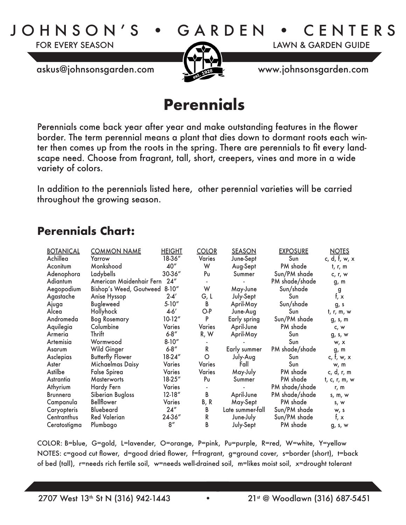JOHNSON'S • GARDEN • CENTERS

FOR EVERY SEASON LAWN & GARDEN GUIDE



askus@johnsonsgarden.com www.johnsonsgarden.com

## **Perennials**

Perennials come back year after year and make outstanding features in the flower border. The term perennial means a plant that dies down to dormant roots each winter then comes up from the roots in the spring. There are perennials to fit every landscape need. Choose from fragrant, tall, short, creepers, vines and more in a wide variety of colors.

In addition to the perennials listed here, other perennial varieties will be carried throughout the growing season.

## **Perennials Chart:**

| <b>BOTANICAL</b> | <b>COMMON NAME</b>            | <b>HEIGHT</b> | <b>COLOR</b>  | <b>SEASON</b>    | <b>EXPOSURE</b> | <b>NOTES</b>    |
|------------------|-------------------------------|---------------|---------------|------------------|-----------------|-----------------|
|                  |                               |               |               |                  |                 |                 |
| Achillea         | Yarrow                        | 18-36"        | <b>Varies</b> | June-Sept        | Sun             | c, d, f, w, x   |
| Aconitum         | Monkshood                     | 40"           | W             | Aug-Sept         | PM shade        | t, r, m         |
| Adenophora       | Ladybells                     | 30-36"        | Pu            | Summer           | Sun/PM shade    | c, r, w         |
| Adiantum         | American Maidenhair Fern 24"  |               |               |                  | PM shade/shade  | g, m            |
| Aegopodium       | Bishop's Weed, Goutweed 8-10" |               | W             | May-June         | Sun/shade       | g               |
| Agastache        | Anise Hyssop                  | $2 - 4'$      | G, L          | July-Sept        | Sun             | f, x            |
| Ajuga            | <b>Bugleweed</b>              | $5-10''$      | B             | April-May        | Sun/shade       | g, s            |
| Alcea            | Hollyhock                     | $4-6'$        | O-P           | June-Aug         | Sun             | t, r, m, w      |
| Andromeda        | <b>Bog Rosemary</b>           | $10-12''$     | P             | Early spring     | Sun/PM shade    | g, s, m         |
| Aquilegia        | Columbine                     | Varies        | <b>Varies</b> | April-June       | PM shade        | c, w            |
| Armeria          | Thrift                        | $6 - 8''$     | R, W          | April-May        | Sun             | g, s, w         |
| Artemisia        | Wormwood                      | $8 - 10''$    |               |                  | Sun             | w, x            |
| Asarum           | Wild Ginger                   | $6 - 8''$     | $\mathsf{R}$  | Early summer     | PM shade/shade  | g, m            |
| Asclepias        | <b>Butterfly Flower</b>       | 18-24"        | $\circ$       | July-Aug         | Sun             | c, $f$ , w, $x$ |
| Aster            | Michaelmas Daisy              | Varies        | <b>Varies</b> | Fall             | Sun             | w, m            |
| Astilbe          | <b>False Spirea</b>           | <b>Varies</b> | <b>Varies</b> | May-July         | PM shade        | c, d, r, m      |
| Astrantia        | <b>Masterworts</b>            | 18-25"        | Pu            | Summer           | PM shade        | t, c, r, m, w   |
| Athyrium         | Hardy Fern                    | Varies        |               |                  | PM shade/shade  | r, m            |
| <b>Brunnera</b>  | Siberian Bugloss              | $12 - 18''$   | B             | April-June       | PM shade/shade  | s, m, w         |
| Campanula        | <b>Bellflower</b>             | <b>Varies</b> | B, R          | May-Sept         | PM shade        | s, w            |
| Caryopteris      | <b>Bluebeard</b>              | 24''          | В             | Late summer-fall | Sun/PM shade    | W, S            |
| Centranthus      | <b>Red Valerian</b>           | 24-36"        | R             | June-July        | Sun/PM shade    | f, $x$          |
| Ceratostigma     | Plumbago                      | 8''           | B             | July-Sept        | PM shade        | g, s, w         |

COLOR: B=blue, G=gold, L=lavender, O=orange, P=pink, Pu=purple, R=red, W=white, Y=yellow NOTES: c=good cut flower, d=good dried flower, f=fragrant, g=ground cover, s=border (short), t=back of bed (tall), r=needs rich fertile soil, w=needs well-drained soil, m=likes moist soil, x=drought tolerant